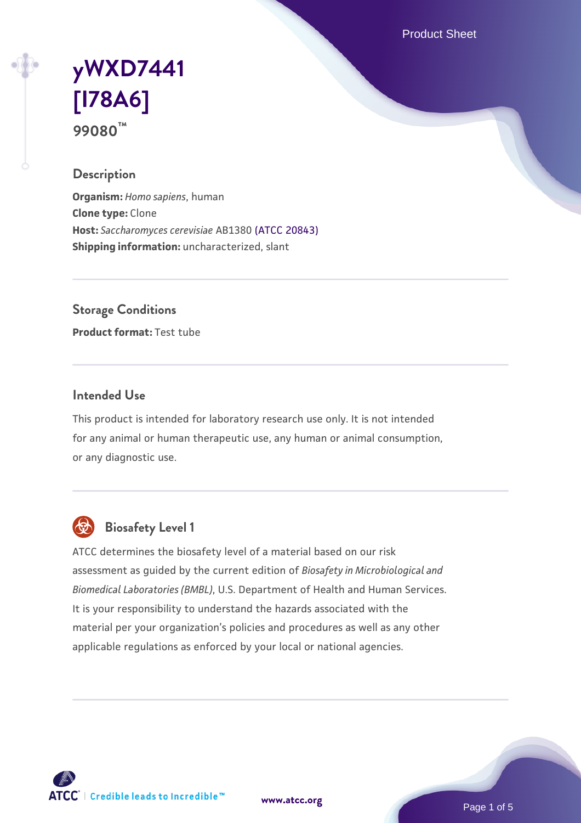Product Sheet

# **[yWXD7441](https://www.atcc.org/products/99080) [\[I78A6\]](https://www.atcc.org/products/99080) 99080™**

## **Description**

**Organism:** *Homo sapiens*, human **Clone type:** Clone **Host:** *Saccharomyces cerevisiae* AB1380 [\(ATCC 20843\)](https://www.atcc.org/products/20843) **Shipping information:** uncharacterized, slant

**Storage Conditions**

**Product format:** Test tube

## **Intended Use**

This product is intended for laboratory research use only. It is not intended for any animal or human therapeutic use, any human or animal consumption, or any diagnostic use.



## **Biosafety Level 1**

ATCC determines the biosafety level of a material based on our risk assessment as guided by the current edition of *Biosafety in Microbiological and Biomedical Laboratories (BMBL)*, U.S. Department of Health and Human Services. It is your responsibility to understand the hazards associated with the material per your organization's policies and procedures as well as any other applicable regulations as enforced by your local or national agencies.

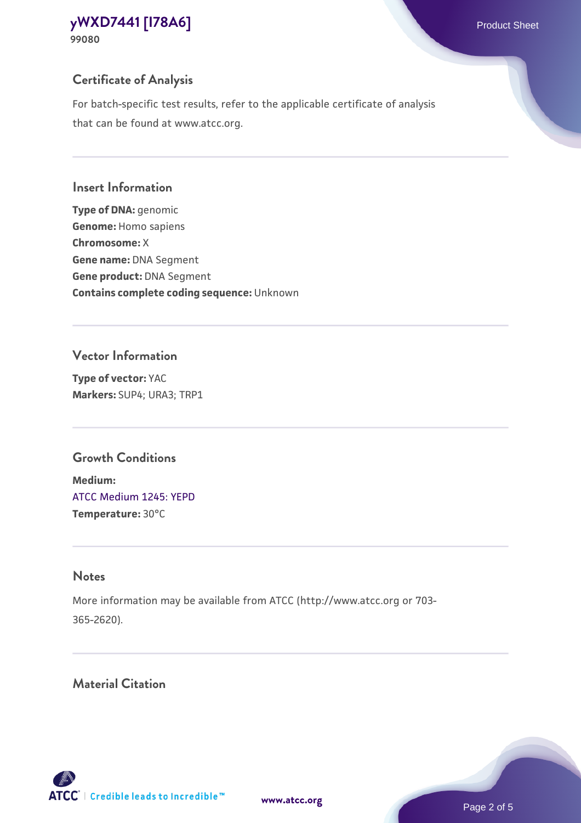## **Certificate of Analysis**

For batch-specific test results, refer to the applicable certificate of analysis that can be found at www.atcc.org.

#### **Insert Information**

**Type of DNA:** genomic **Genome:** Homo sapiens **Chromosome:** X **Gene name:** DNA Segment **Gene product:** DNA Segment **Contains complete coding sequence:** Unknown

#### **Vector Information**

**Type of vector:** YAC **Markers:** SUP4; URA3; TRP1

## **Growth Conditions**

**Medium:**  [ATCC Medium 1245: YEPD](https://www.atcc.org/-/media/product-assets/documents/microbial-media-formulations/1/2/4/5/atcc-medium-1245.pdf?rev=705ca55d1b6f490a808a965d5c072196) **Temperature:** 30°C

## **Notes**

More information may be available from ATCC (http://www.atcc.org or 703- 365-2620).

## **Material Citation**

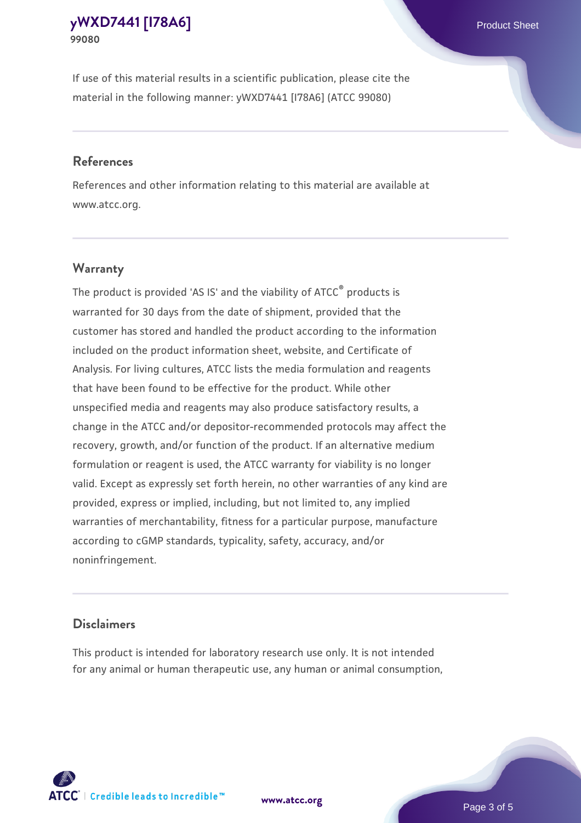If use of this material results in a scientific publication, please cite the material in the following manner: yWXD7441 [I78A6] (ATCC 99080)

#### **References**

References and other information relating to this material are available at www.atcc.org.

## **Warranty**

The product is provided 'AS IS' and the viability of  $ATCC<sup>®</sup>$  products is warranted for 30 days from the date of shipment, provided that the customer has stored and handled the product according to the information included on the product information sheet, website, and Certificate of Analysis. For living cultures, ATCC lists the media formulation and reagents that have been found to be effective for the product. While other unspecified media and reagents may also produce satisfactory results, a change in the ATCC and/or depositor-recommended protocols may affect the recovery, growth, and/or function of the product. If an alternative medium formulation or reagent is used, the ATCC warranty for viability is no longer valid. Except as expressly set forth herein, no other warranties of any kind are provided, express or implied, including, but not limited to, any implied warranties of merchantability, fitness for a particular purpose, manufacture according to cGMP standards, typicality, safety, accuracy, and/or noninfringement.

#### **Disclaimers**

This product is intended for laboratory research use only. It is not intended for any animal or human therapeutic use, any human or animal consumption,

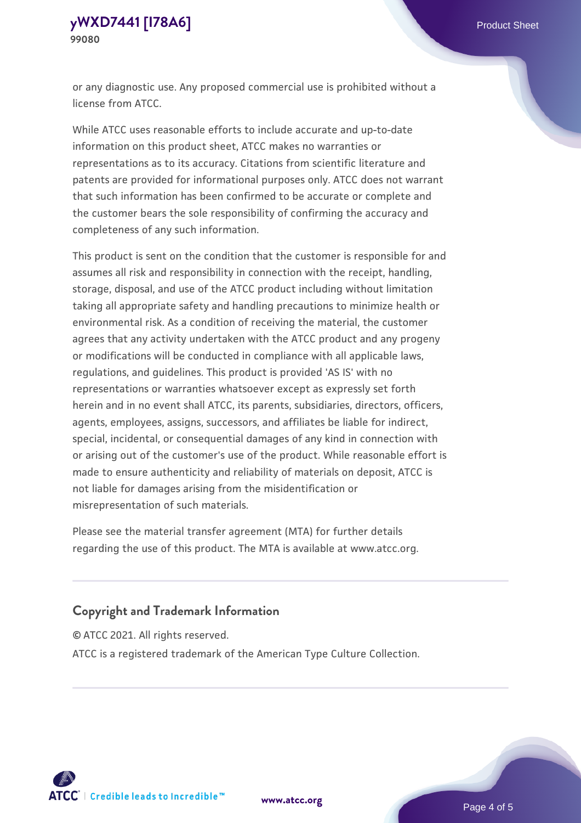or any diagnostic use. Any proposed commercial use is prohibited without a license from ATCC.

While ATCC uses reasonable efforts to include accurate and up-to-date information on this product sheet, ATCC makes no warranties or representations as to its accuracy. Citations from scientific literature and patents are provided for informational purposes only. ATCC does not warrant that such information has been confirmed to be accurate or complete and the customer bears the sole responsibility of confirming the accuracy and completeness of any such information.

This product is sent on the condition that the customer is responsible for and assumes all risk and responsibility in connection with the receipt, handling, storage, disposal, and use of the ATCC product including without limitation taking all appropriate safety and handling precautions to minimize health or environmental risk. As a condition of receiving the material, the customer agrees that any activity undertaken with the ATCC product and any progeny or modifications will be conducted in compliance with all applicable laws, regulations, and guidelines. This product is provided 'AS IS' with no representations or warranties whatsoever except as expressly set forth herein and in no event shall ATCC, its parents, subsidiaries, directors, officers, agents, employees, assigns, successors, and affiliates be liable for indirect, special, incidental, or consequential damages of any kind in connection with or arising out of the customer's use of the product. While reasonable effort is made to ensure authenticity and reliability of materials on deposit, ATCC is not liable for damages arising from the misidentification or misrepresentation of such materials.

Please see the material transfer agreement (MTA) for further details regarding the use of this product. The MTA is available at www.atcc.org.

## **Copyright and Trademark Information**

© ATCC 2021. All rights reserved.

ATCC is a registered trademark of the American Type Culture Collection.



**[www.atcc.org](http://www.atcc.org)**

Page 4 of 5